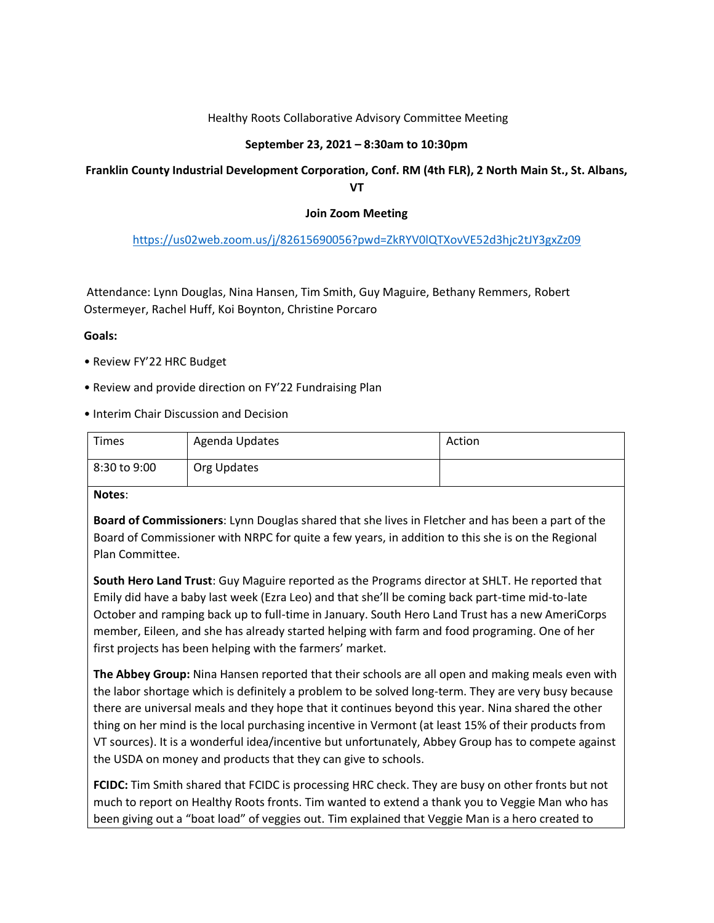## Healthy Roots Collaborative Advisory Committee Meeting

## **September 23, 2021 – 8:30am to 10:30pm**

# **Franklin County Industrial Development Corporation, Conf. RM (4th FLR), 2 North Main St., St. Albans, VT**

### **Join Zoom Meeting**

## <https://us02web.zoom.us/j/82615690056?pwd=ZkRYV0lQTXovVE52d3hjc2tJY3gxZz09>

Attendance: Lynn Douglas, Nina Hansen, Tim Smith, Guy Maguire, Bethany Remmers, Robert Ostermeyer, Rachel Huff, Koi Boynton, Christine Porcaro

#### **Goals:**

- Review FY'22 HRC Budget
- Review and provide direction on FY'22 Fundraising Plan
- Interim Chair Discussion and Decision

| Times        | Agenda Updates | Action |
|--------------|----------------|--------|
| 8:30 to 9:00 | Org Updates    |        |

#### **Notes**:

**Board of Commissioners**: Lynn Douglas shared that she lives in Fletcher and has been a part of the Board of Commissioner with NRPC for quite a few years, in addition to this she is on the Regional Plan Committee.

**South Hero Land Trust**: Guy Maguire reported as the Programs director at SHLT. He reported that Emily did have a baby last week (Ezra Leo) and that she'll be coming back part-time mid-to-late October and ramping back up to full-time in January. South Hero Land Trust has a new AmeriCorps member, Eileen, and she has already started helping with farm and food programing. One of her first projects has been helping with the farmers' market.

**The Abbey Group:** Nina Hansen reported that their schools are all open and making meals even with the labor shortage which is definitely a problem to be solved long-term. They are very busy because there are universal meals and they hope that it continues beyond this year. Nina shared the other thing on her mind is the local purchasing incentive in Vermont (at least 15% of their products from VT sources). It is a wonderful idea/incentive but unfortunately, Abbey Group has to compete against the USDA on money and products that they can give to schools.

**FCIDC:** Tim Smith shared that FCIDC is processing HRC check. They are busy on other fronts but not much to report on Healthy Roots fronts. Tim wanted to extend a thank you to Veggie Man who has been giving out a "boat load" of veggies out. Tim explained that Veggie Man is a hero created to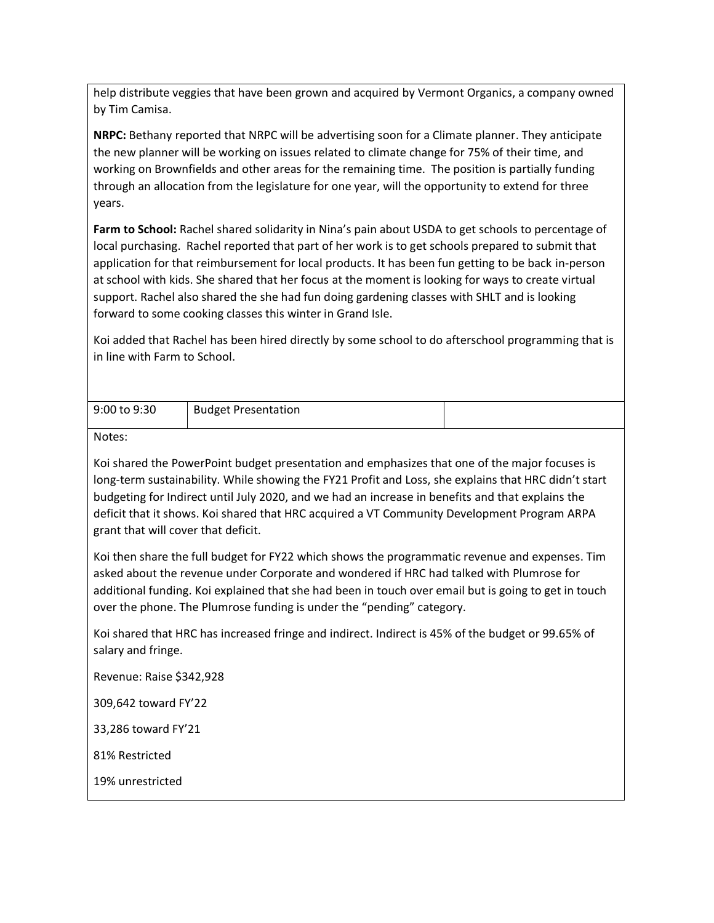help distribute veggies that have been grown and acquired by Vermont Organics, a company owned by Tim Camisa.

**NRPC:** Bethany reported that NRPC will be advertising soon for a Climate planner. They anticipate the new planner will be working on issues related to climate change for 75% of their time, and working on Brownfields and other areas for the remaining time. The position is partially funding through an allocation from the legislature for one year, will the opportunity to extend for three years.

**Farm to School:** Rachel shared solidarity in Nina's pain about USDA to get schools to percentage of local purchasing. Rachel reported that part of her work is to get schools prepared to submit that application for that reimbursement for local products. It has been fun getting to be back in-person at school with kids. She shared that her focus at the moment is looking for ways to create virtual support. Rachel also shared the she had fun doing gardening classes with SHLT and is looking forward to some cooking classes this winter in Grand Isle.

Koi added that Rachel has been hired directly by some school to do afterschool programming that is in line with Farm to School.

| 9:00 to 9:30 | <b>Budget Presentation</b> |  |
|--------------|----------------------------|--|

Notes:

Koi shared the PowerPoint budget presentation and emphasizes that one of the major focuses is long-term sustainability. While showing the FY21 Profit and Loss, she explains that HRC didn't start budgeting for Indirect until July 2020, and we had an increase in benefits and that explains the deficit that it shows. Koi shared that HRC acquired a VT Community Development Program ARPA grant that will cover that deficit.

Koi then share the full budget for FY22 which shows the programmatic revenue and expenses. Tim asked about the revenue under Corporate and wondered if HRC had talked with Plumrose for additional funding. Koi explained that she had been in touch over email but is going to get in touch over the phone. The Plumrose funding is under the "pending" category.

Koi shared that HRC has increased fringe and indirect. Indirect is 45% of the budget or 99.65% of salary and fringe.

Revenue: Raise \$342,928

309,642 toward FY'22

33,286 toward FY'21

81% Restricted

19% unrestricted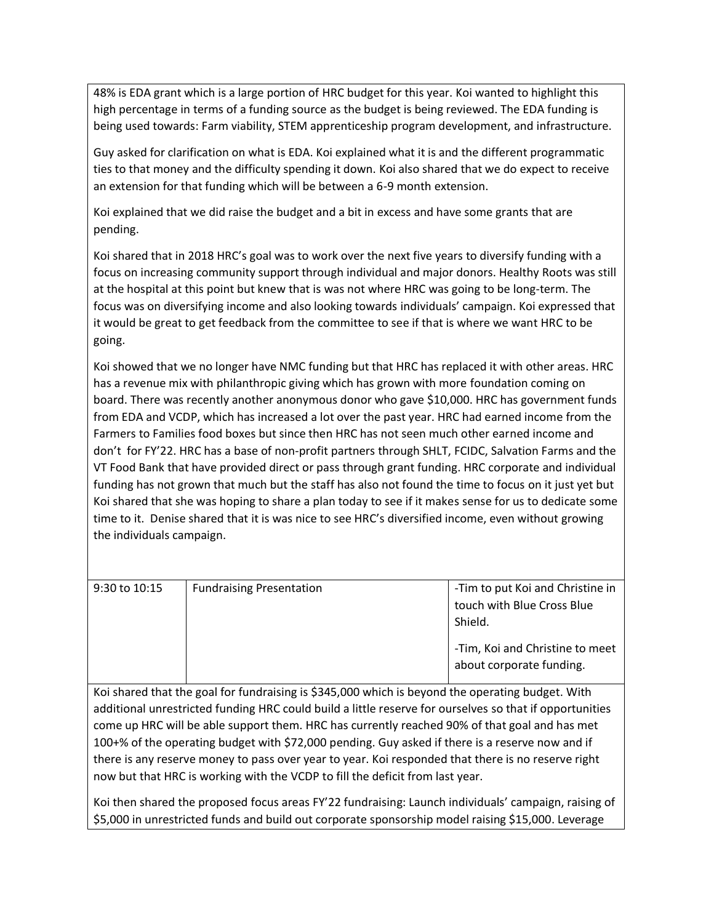48% is EDA grant which is a large portion of HRC budget for this year. Koi wanted to highlight this high percentage in terms of a funding source as the budget is being reviewed. The EDA funding is being used towards: Farm viability, STEM apprenticeship program development, and infrastructure.

Guy asked for clarification on what is EDA. Koi explained what it is and the different programmatic ties to that money and the difficulty spending it down. Koi also shared that we do expect to receive an extension for that funding which will be between a 6-9 month extension.

Koi explained that we did raise the budget and a bit in excess and have some grants that are pending.

Koi shared that in 2018 HRC's goal was to work over the next five years to diversify funding with a focus on increasing community support through individual and major donors. Healthy Roots was still at the hospital at this point but knew that is was not where HRC was going to be long-term. The focus was on diversifying income and also looking towards individuals' campaign. Koi expressed that it would be great to get feedback from the committee to see if that is where we want HRC to be going.

Koi showed that we no longer have NMC funding but that HRC has replaced it with other areas. HRC has a revenue mix with philanthropic giving which has grown with more foundation coming on board. There was recently another anonymous donor who gave \$10,000. HRC has government funds from EDA and VCDP, which has increased a lot over the past year. HRC had earned income from the Farmers to Families food boxes but since then HRC has not seen much other earned income and don't for FY'22. HRC has a base of non-profit partners through SHLT, FCIDC, Salvation Farms and the VT Food Bank that have provided direct or pass through grant funding. HRC corporate and individual funding has not grown that much but the staff has also not found the time to focus on it just yet but Koi shared that she was hoping to share a plan today to see if it makes sense for us to dedicate some time to it. Denise shared that it is was nice to see HRC's diversified income, even without growing the individuals campaign.

| $9:30$ to $10:15$ | <b>Fundraising Presentation</b> | -Tim to put Koi and Christine in<br>touch with Blue Cross Blue<br>Shield. |
|-------------------|---------------------------------|---------------------------------------------------------------------------|
|                   |                                 | -Tim, Koi and Christine to meet<br>about corporate funding.               |

Koi shared that the goal for fundraising is \$345,000 which is beyond the operating budget. With additional unrestricted funding HRC could build a little reserve for ourselves so that if opportunities come up HRC will be able support them. HRC has currently reached 90% of that goal and has met 100+% of the operating budget with \$72,000 pending. Guy asked if there is a reserve now and if there is any reserve money to pass over year to year. Koi responded that there is no reserve right now but that HRC is working with the VCDP to fill the deficit from last year.

Koi then shared the proposed focus areas FY'22 fundraising: Launch individuals' campaign, raising of \$5,000 in unrestricted funds and build out corporate sponsorship model raising \$15,000. Leverage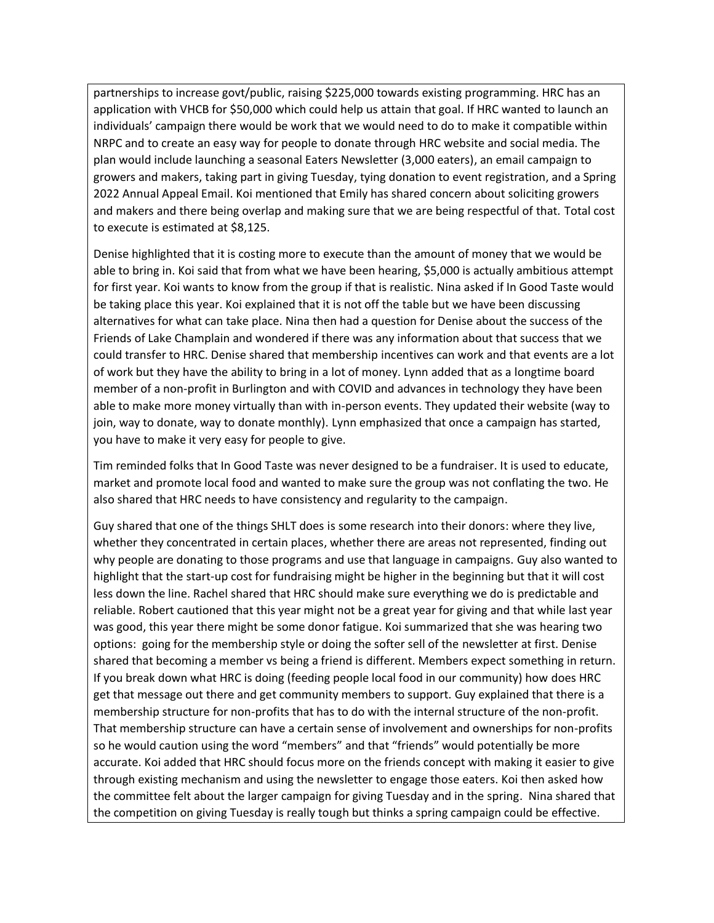partnerships to increase govt/public, raising \$225,000 towards existing programming. HRC has an application with VHCB for \$50,000 which could help us attain that goal. If HRC wanted to launch an individuals' campaign there would be work that we would need to do to make it compatible within NRPC and to create an easy way for people to donate through HRC website and social media. The plan would include launching a seasonal Eaters Newsletter (3,000 eaters), an email campaign to growers and makers, taking part in giving Tuesday, tying donation to event registration, and a Spring 2022 Annual Appeal Email. Koi mentioned that Emily has shared concern about soliciting growers and makers and there being overlap and making sure that we are being respectful of that. Total cost to execute is estimated at \$8,125.

Denise highlighted that it is costing more to execute than the amount of money that we would be able to bring in. Koi said that from what we have been hearing, \$5,000 is actually ambitious attempt for first year. Koi wants to know from the group if that is realistic. Nina asked if In Good Taste would be taking place this year. Koi explained that it is not off the table but we have been discussing alternatives for what can take place. Nina then had a question for Denise about the success of the Friends of Lake Champlain and wondered if there was any information about that success that we could transfer to HRC. Denise shared that membership incentives can work and that events are a lot of work but they have the ability to bring in a lot of money. Lynn added that as a longtime board member of a non-profit in Burlington and with COVID and advances in technology they have been able to make more money virtually than with in-person events. They updated their website (way to join, way to donate, way to donate monthly). Lynn emphasized that once a campaign has started, you have to make it very easy for people to give.

Tim reminded folks that In Good Taste was never designed to be a fundraiser. It is used to educate, market and promote local food and wanted to make sure the group was not conflating the two. He also shared that HRC needs to have consistency and regularity to the campaign.

Guy shared that one of the things SHLT does is some research into their donors: where they live, whether they concentrated in certain places, whether there are areas not represented, finding out why people are donating to those programs and use that language in campaigns. Guy also wanted to highlight that the start-up cost for fundraising might be higher in the beginning but that it will cost less down the line. Rachel shared that HRC should make sure everything we do is predictable and reliable. Robert cautioned that this year might not be a great year for giving and that while last year was good, this year there might be some donor fatigue. Koi summarized that she was hearing two options: going for the membership style or doing the softer sell of the newsletter at first. Denise shared that becoming a member vs being a friend is different. Members expect something in return. If you break down what HRC is doing (feeding people local food in our community) how does HRC get that message out there and get community members to support. Guy explained that there is a membership structure for non-profits that has to do with the internal structure of the non-profit. That membership structure can have a certain sense of involvement and ownerships for non-profits so he would caution using the word "members" and that "friends" would potentially be more accurate. Koi added that HRC should focus more on the friends concept with making it easier to give through existing mechanism and using the newsletter to engage those eaters. Koi then asked how the committee felt about the larger campaign for giving Tuesday and in the spring. Nina shared that the competition on giving Tuesday is really tough but thinks a spring campaign could be effective.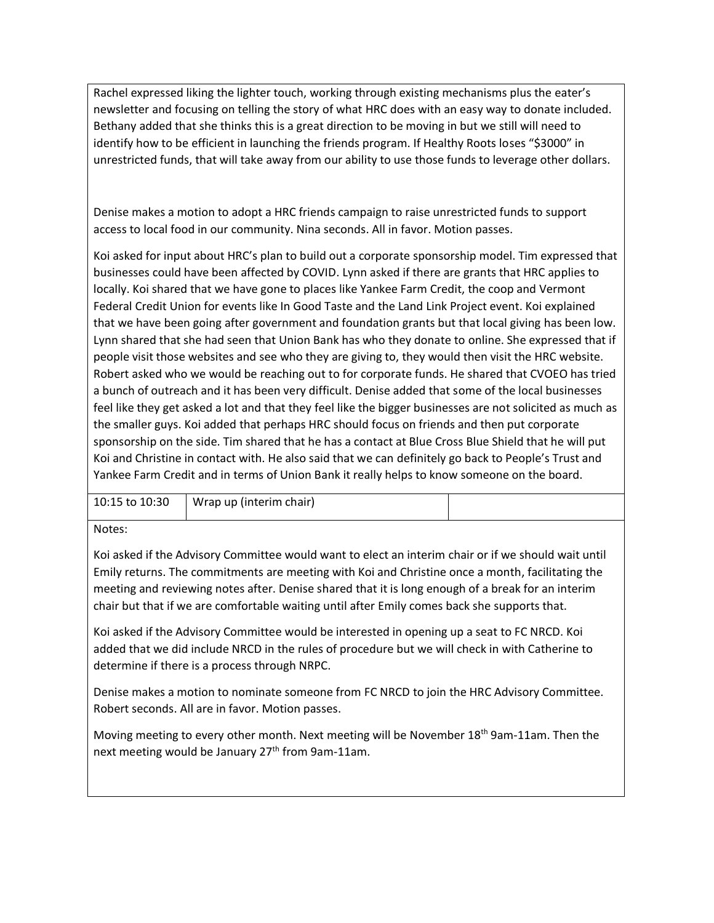Rachel expressed liking the lighter touch, working through existing mechanisms plus the eater's newsletter and focusing on telling the story of what HRC does with an easy way to donate included. Bethany added that she thinks this is a great direction to be moving in but we still will need to identify how to be efficient in launching the friends program. If Healthy Roots loses "\$3000" in unrestricted funds, that will take away from our ability to use those funds to leverage other dollars.

Denise makes a motion to adopt a HRC friends campaign to raise unrestricted funds to support access to local food in our community. Nina seconds. All in favor. Motion passes.

Koi asked for input about HRC's plan to build out a corporate sponsorship model. Tim expressed that businesses could have been affected by COVID. Lynn asked if there are grants that HRC applies to locally. Koi shared that we have gone to places like Yankee Farm Credit, the coop and Vermont Federal Credit Union for events like In Good Taste and the Land Link Project event. Koi explained that we have been going after government and foundation grants but that local giving has been low. Lynn shared that she had seen that Union Bank has who they donate to online. She expressed that if people visit those websites and see who they are giving to, they would then visit the HRC website. Robert asked who we would be reaching out to for corporate funds. He shared that CVOEO has tried a bunch of outreach and it has been very difficult. Denise added that some of the local businesses feel like they get asked a lot and that they feel like the bigger businesses are not solicited as much as the smaller guys. Koi added that perhaps HRC should focus on friends and then put corporate sponsorship on the side. Tim shared that he has a contact at Blue Cross Blue Shield that he will put Koi and Christine in contact with. He also said that we can definitely go back to People's Trust and Yankee Farm Credit and in terms of Union Bank it really helps to know someone on the board.

| 10:15 to 10:30 | Wrap up (interim chair) |  |
|----------------|-------------------------|--|
|                |                         |  |

Notes:

Koi asked if the Advisory Committee would want to elect an interim chair or if we should wait until Emily returns. The commitments are meeting with Koi and Christine once a month, facilitating the meeting and reviewing notes after. Denise shared that it is long enough of a break for an interim chair but that if we are comfortable waiting until after Emily comes back she supports that.

Koi asked if the Advisory Committee would be interested in opening up a seat to FC NRCD. Koi added that we did include NRCD in the rules of procedure but we will check in with Catherine to determine if there is a process through NRPC.

Denise makes a motion to nominate someone from FC NRCD to join the HRC Advisory Committee. Robert seconds. All are in favor. Motion passes.

Moving meeting to every other month. Next meeting will be November 18<sup>th</sup> 9am-11am. Then the next meeting would be January 27<sup>th</sup> from 9am-11am.